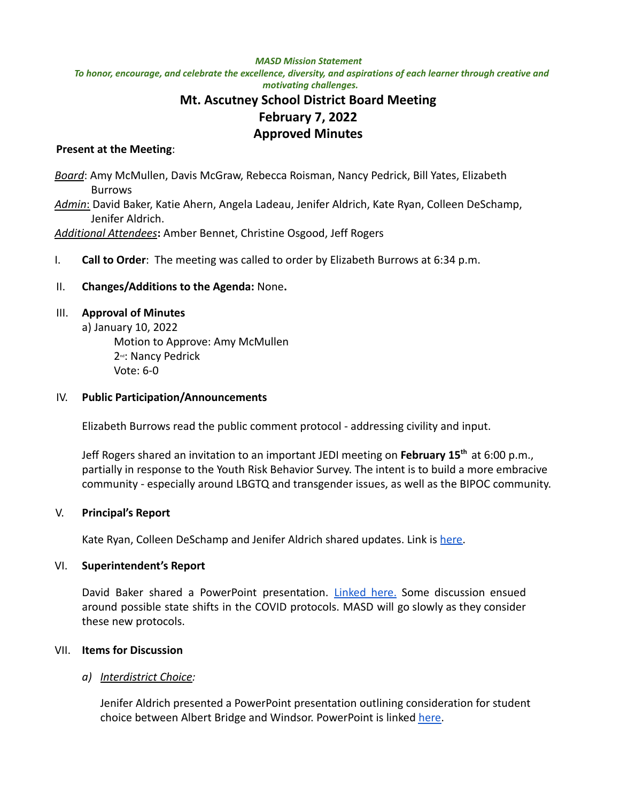#### *MASD Mission Statement*

To honor, encourage, and celebrate the excellence, diversity, and aspirations of each learner through creative and *motivating challenges.*

# **Mt. Ascutney School District Board Meeting February 7, 2022 Approved Minutes**

### **Present at the Meeting**:

*Board*: Amy McMullen, Davis McGraw, Rebecca Roisman, Nancy Pedrick, Bill Yates, Elizabeth Burrows *Admin*: David Baker, Katie Ahern, Angela Ladeau, Jenifer Aldrich, Kate Ryan, Colleen DeSchamp, Jenifer Aldrich. *Additional Attendees***:** Amber Bennet, Christine Osgood, Jeff Rogers

I. **Call to Order**: The meeting was called to order by Elizabeth Burrows at 6:34 p.m.

### II. **Changes/Additions to the Agenda:** None**.**

#### III. **Approval of Minutes**

a) January 10, 2022 Motion to Approve: Amy McMullen 2<sup>nd</sup>: Nancy Pedrick Vote: 6-0

#### IV. **Public Participation/Announcements**

Elizabeth Burrows read the public comment protocol - addressing civility and input.

Jeff Rogers shared an invitation to an important JEDI meeting on **February 15th** at 6:00 p.m., partially in response to the Youth Risk Behavior Survey. The intent is to build a more embracive community - especially around LBGTQ and transgender issues, as well as the BIPOC community.

## V. **Principal's Report**

Kate Ryan, Colleen DeSchamp and Jenifer Aldrich shared updates. Link is [here.](https://docs.google.com/presentation/d/18t-Wjyz-Sq8OWt1nxLIVgl5Nf_7_Dx73bkjNhIgpzzE/edit#slide=id.p)

#### VI. **Superintendent's Report**

David Baker shared a PowerPoint presentation. [Linked](https://docs.google.com/presentation/d/16jBtPAEvLBZXLHCGLkAnur9K6nHu1d6SZrcIuCgpI9k/edit#slide=id.gf94ea98049_0_0) here. Some discussion ensued around possible state shifts in the COVID protocols. MASD will go slowly as they consider these new protocols.

#### VII. **Items for Discussion**

## *a) Interdistrict Choice:*

Jenifer Aldrich presented a PowerPoint presentation outlining consideration for student choice between Albert Bridge and Windsor. PowerPoint is linked [here.](https://docs.google.com/presentation/d/1X2EqtqqtZQiXngvGOkPfYW6oYXf7JGwVuWiyXOd2SsE/edit#slide=id.p)